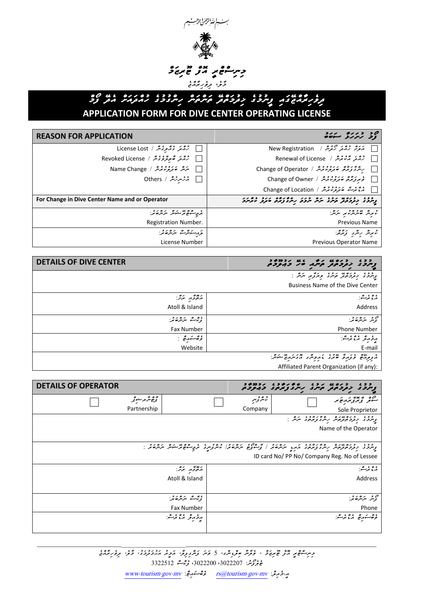

## *ދިވެހިރާއްޖޭގައި ފީނުމުގެ ޚިދުމަތްދޭ ތަންތަން ހިންގުމުގެ ހުއްދައަށް އެދޭ ފޯމް*  **APPLICATION FORM FOR DIVE CENTER OPERATING LICENSE**

## حة حساب المسلم المسلم المسلم المسلم المسلم المسلم المسلم المسلم المسلم المسلم المسلم المسلم المسلم المسلم المسلم ال<br>وقد المسلم المسلم المسلم المسلم المسلم المسلم المسلم المسلم المسلم المسلم المسلم المسلم المسلم المسلم ال *އަލަށް ހުއްދަ ހޯދުން /* Registration New *ހުއްދަ އާކުރުން /* License of Renewal *ހިންގާފަރާތް ބަދަލުކުރުން /* Operator of Change *ވެރިފަރާތް ބަދަލުކުރުން /* Owner of Change مع محمد مصر محمد العرض محمد العرض محمد العام Change of Location *ހުއްދަ ގެއްލިގެން /* Lost License *ހުއްދަ ބާތިލްވެގެން /* License Revoked **│ سَرَیْرَ صَوَبِرَمِنْدِیْرْ / Name Change ◯ مَنْسِرْسْدْ / Others** *ފީނުމުގެ ޚިދުމަތްދޭ ތަނުގެ ނަން ނުވަތަ ހިންގާފަރާތް ބަދަލު ކުރާނަމަ* **Operator or and Name Center Dive in Change For** *ކުރިން ބޭނުންކުރި ނަނ:ް* Previous Name *ރެޖިސްޓްރޭޝަން ނަންބަރ:ު* Registration Number. *ކުރިން ހިންގި ފަރާތ:ް* Previous Operator Name <del>ز</del>ر مستشر متران المرار المستقر License Number

| <b>DETAILS OF DIVE CENTER</b>      |                                          |
|------------------------------------|------------------------------------------|
|                                    | ر دو د دره په دو د ورگړ پر سر د          |
|                                    | <b>Business Name of the Dive Center</b>  |
| ر پوځه بره .<br>محور برگر:         | ، ه ، ره.<br>مربع نرگ                    |
| Atoll & Island                     | Address                                  |
| ، ق م مرکزه تمر:                   | مۇيىر بىرتى <i>رغى</i> خ                 |
| <b>Fax Number</b>                  | <b>Phone Number</b>                      |
| $\therefore$ ga $\cong$ ga $\cong$ | رؤرو منعت                                |
| Website                            | E-mail                                   |
|                                    | riges sing she shell reader              |
|                                    | Affiliated Parent Organization (if any): |

| <b>DETAILS OF OPERATOR</b> |                       |           | ככג כנסט נכנס סטיטבי נדסטיב<br>ציינכצ לבקכתב, תיינג ניינדאית בדיקרית                                                                                                                     |
|----------------------------|-----------------------|-----------|------------------------------------------------------------------------------------------------------------------------------------------------------------------------------------------|
|                            | ۇھ ئىرىر سىزۇ         | د و د پېر | 90 مع مردم بر<br>سوفر بر بر بر بر ج                                                                                                                                                      |
| Partnership                |                       | Company   | Sole Proprietor                                                                                                                                                                          |
|                            |                       |           | د دو، دوم مده ره در دوه مره.<br>پرسرد د در مردم بر سر و درمود مرش                                                                                                                        |
|                            |                       |           | Name of the Operator                                                                                                                                                                     |
|                            |                       |           |                                                                                                                                                                                          |
|                            |                       |           | ככז יכתונים המיניכז ו יכתוב המיניכן מייחוד והוניכן והים מיניים ומינים ויירושים.<br>נוונבצי יכנים נקשיו ויינצי נדים באופן ייניונים ול נווני ויינים ולא מיניקיים ונפייים ולמיניו ייניולים. |
|                            |                       |           | ID card No/ PP No/ Company Reg. No of Lessee                                                                                                                                             |
|                            | بعدو برو.             |           | ېره پر ه.                                                                                                                                                                                |
|                            | Atoll & Island        |           | Address                                                                                                                                                                                  |
|                            |                       |           |                                                                                                                                                                                          |
|                            | ، ورا سر سر سر دین کر |           | ص پر مرکزه تر:<br>تومبر مرکزه تر:                                                                                                                                                        |
|                            | Fax Number            |           | Phone                                                                                                                                                                                    |
|                            | ړ د پرو رو دی.        |           | ءه بره ۽ ۽ پڻ                                                                                                                                                                            |
|                            |                       |           |                                                                                                                                                                                          |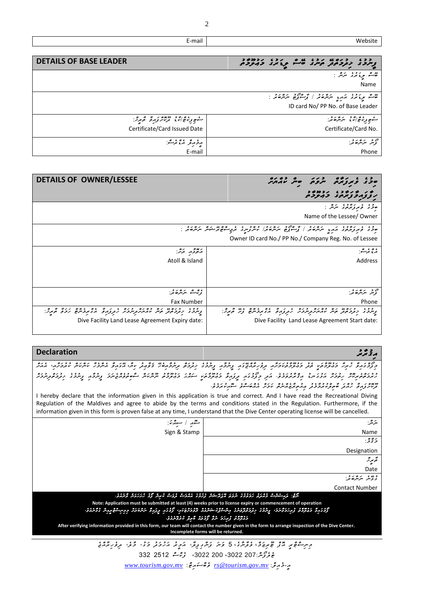| Website                                                                                   | E-mail                        |
|-------------------------------------------------------------------------------------------|-------------------------------|
|                                                                                           |                               |
| د دو، دره مه رو، مه دو، دوه دوه د                                                         | <b>DETAILS OF BASE LEADER</b> |
| ر مان استفاده می برد برد استفاده استفاده استفاده استفاده استفاده باشد با<br>Name          |                               |
| <br>۲- برونمری مرمد مرکز ۲۰۰۵ / مجرح برخور در ۲۰۰۵ ز<br>ID card No/ PP No. of Base Leader |                               |
| ڪو پر رايج اندي پر مرڪ <i>ي جي</i><br>Certificate/Card No.                                | Certificate/Card Issued Date  |
|                                                                                           |                               |

| ص پر مرکز کار دی.<br>توسر مرکز کار | ړ د په دغه نړ شو: |
|------------------------------------|-------------------|
|                                    | E-mail            |

| ەۋتى                                                                                                                                                      | <b>DETAILS OF OWNER/LESSEE</b>                                                                                       |
|-----------------------------------------------------------------------------------------------------------------------------------------------------------|----------------------------------------------------------------------------------------------------------------------|
| PIJAI SPYJIA                                                                                                                                              |                                                                                                                      |
| ۇ برىزدە بىر شەر<br>و ء<br>حو د                                                                                                                           |                                                                                                                      |
| Name of the Lessee/ Owner                                                                                                                                 |                                                                                                                      |
| د ، ، د د د ، د د ، سره د د ا و مرد د د د د د د ، ، ، د م ه سندس سره د د .<br>مود و بر زیرمرد از دید اسره بر از پرسوزی سرسره براس سرج سوم سندس سرسره بر : |                                                                                                                      |
| Owner ID card No./ PP No./ Company Reg. No. of Lessee                                                                                                     |                                                                                                                      |
| ، ه ، مر م<br>مربع نر م                                                                                                                                   | 4x<br>بعدي بره.                                                                                                      |
| Address                                                                                                                                                   | Atoll & Island                                                                                                       |
|                                                                                                                                                           |                                                                                                                      |
|                                                                                                                                                           |                                                                                                                      |
| ەيە بەر ئەھەتمە:                                                                                                                                          | ، ە مەسىر بىر ھەير.<br>ئى <sup>رىس</sup> ئىر بىر ھەير:                                                               |
| Phone                                                                                                                                                     | <b>Fax Number</b>                                                                                                    |
| و دد ، د ده په ده ده ده د ده د ورود و په ده ورد کرد.<br>ویردد د دردمد مرس بر دربردیر کرد در در دیگردیره ویژگیرد:                                          | ر دو، دره مه ده ده ده دره در در در ده ده دوه دره گریزد:<br>رسرد در دوه در مهر مامار در در در در در دوم در در ده کردن |
| Dive Facility Land Lease Agreement Start date:                                                                                                            | Dive Facility Land Lease Agreement Expiry date:                                                                      |
|                                                                                                                                                           |                                                                                                                      |

## موقع <del>م</del>حمد المستخدمات المستخدمات المستخدمات المستخدمات المستخدمات المستخدمات المستخدمات المستخدمات المستخدمات المستخدمات المستخدمات المستخدمات المستخدمات المستخدمات المستخدمات المستخدمات المستخدمات المستخدمات المستخدما

حزوی دیر حزمی دو ۶۰۰ متر ۶۰۶ متر ۶۰۰ متر متر دور در ۱۶۶۰ متر مترکز مترکز مترکز متر در ۱۳۶۰ متر متر مترکز مترکز متر<br>در ۱۳۶۷ متر ۱۳۶۶ متر داد وولومو مترکز مترکز دور دوره در ۱۳۶۷ متر ۱۳۶۵ مترم ۱۳۶۸ مترم ۲۵۰ متر ۲۵۰ متر ۱۳۶۰ *ހުރުމަތްތެރިކޮށް ހިތުމަށް އަޅުގަ ނޑު އިޤްރާރުވަމެވ.ެ އަދި މިފޯމުގައި ދީފައިވާ މަޢުލޫމާތަކީ ސައްޙަ މަޢުލޫމާތު ނޫންކަން ސާބިތުވެއްޖެނަމަ ފީނުމާއި ފީނުމުގެ ޚިދުމަތްދިނުމަށް ދޫކޮށްފައިވާ ހުއްދަ ބާތިލްކުރުމާމެދު ޢިއުތިރާޒެއްނެތް ކަމަށް އެއްބަސްވެ ސޮއިކުރަމެވ.ެ*

I hereby declare that the information given in this application is true and correct. And I have read the Recreational Diving Regulation of the Maldives and agree to abide by the terms and conditions stated in the Regulation. Furthermore, if the information given in this form is proven false at any time, I understand that the Dive Center operating license will be cancelled.

| متعهر المسوقمة:                                                                                                                                                                                                                                                                                                                                                                                                  | ىئرىش:                                                                                              |
|------------------------------------------------------------------------------------------------------------------------------------------------------------------------------------------------------------------------------------------------------------------------------------------------------------------------------------------------------------------------------------------------------------------|-----------------------------------------------------------------------------------------------------|
| Sign & Stamp                                                                                                                                                                                                                                                                                                                                                                                                     | Name                                                                                                |
|                                                                                                                                                                                                                                                                                                                                                                                                                  | خ تو ژ                                                                                              |
|                                                                                                                                                                                                                                                                                                                                                                                                                  | Designation                                                                                         |
|                                                                                                                                                                                                                                                                                                                                                                                                                  | ەمجىرىز                                                                                             |
|                                                                                                                                                                                                                                                                                                                                                                                                                  | Date                                                                                                |
|                                                                                                                                                                                                                                                                                                                                                                                                                  | د یں پر مرکز د<br>پر کر سرکس سر                                                                     |
|                                                                                                                                                                                                                                                                                                                                                                                                                  | <b>Contact Number</b>                                                                               |
|                                                                                                                                                                                                                                                                                                                                                                                                                  | الرفع: كإراشيرات وقاترة الإولادة الروكم فارتزعتكم أرادود فاقتحت تروك بالرائر والا المرتكان والرقاق. |
| Note: Application must be submitted at least (4) weeks prior to license expiry or commencement of operation<br>كرديرة ويؤودنا ويتحكمون يتدود يرومهمدو بترجوه بمستنفا لاودعاب كردير يروبا الترفالا بيبيانهم والمنتف<br><i>בגרפה נקידב ירד קראה שקר התעיתה.</i><br>After verifying information provided in this form, our team will contact the number given in the form to arrange inspection of the Dive Center. |                                                                                                     |
| Incomplete forms will be returned.                                                                                                                                                                                                                                                                                                                                                                               |                                                                                                     |

*މިނިސްޓްރީ އޮފް ޓޫރިޒަމ*،*ް ވެލާނާގ*،*ެ* 5 *ވަނަ ފަންގިފިލ،ާ އަމީރު އަހުމަދު މަގ،ު މާލ،ެ ދިވެހިރާއްޖެ* **غ** مِحرِكْثِرْ 2072 200°، 3022 200 ،3022 207 332 332 *އ-ީމެއިލ:ް [mv.gov.tourism@rs](mailto:rs@tourism.gov.mv) ވެބްސައިޓ:ް [mv.gov.tourism.www](http://www.tourism.gov.mv/)*

2